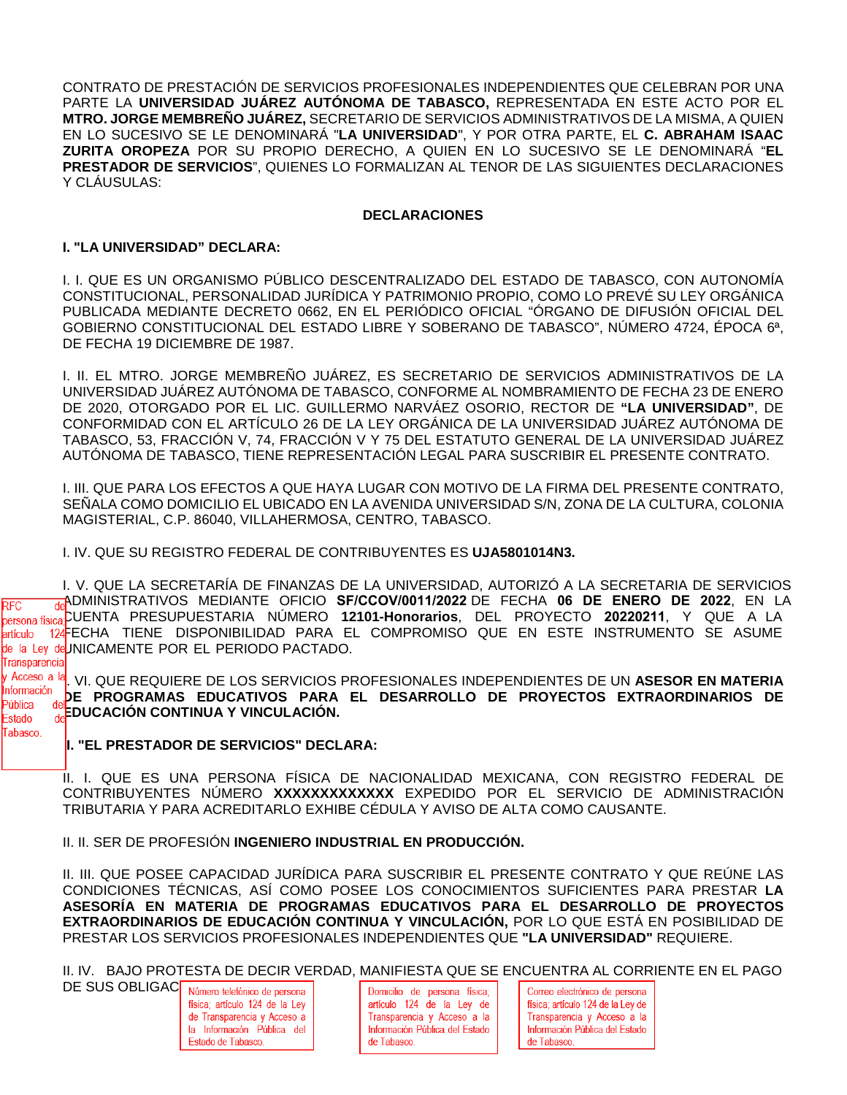CONTRATO DE PRESTACIÓN DE SERVICIOS PROFESIONALES INDEPENDIENTES QUE CELEBRAN POR UNA PARTE LA **UNIVERSIDAD JUÁREZ AUTÓNOMA DE TABASCO,** REPRESENTADA EN ESTE ACTO POR EL **MTRO. JORGE MEMBREÑO JUÁREZ,** SECRETARIO DE SERVICIOS ADMINISTRATIVOS DE LA MISMA, A QUIEN EN LO SUCESIVO SE LE DENOMINARÁ "**LA UNIVERSIDAD**", Y POR OTRA PARTE, EL **C. ABRAHAM ISAAC ZURITA OROPEZA** POR SU PROPIO DERECHO, A QUIEN EN LO SUCESIVO SE LE DENOMINARÁ "**EL PRESTADOR DE SERVICIOS**", QUIENES LO FORMALIZAN AL TENOR DE LAS SIGUIENTES DECLARACIONES Y CLÁUSULAS:

#### **DECLARACIONES**

## **I. "LA UNIVERSIDAD" DECLARA:**

I. I. QUE ES UN ORGANISMO PÚBLICO DESCENTRALIZADO DEL ESTADO DE TABASCO, CON AUTONOMÍA CONSTITUCIONAL, PERSONALIDAD JURÍDICA Y PATRIMONIO PROPIO, COMO LO PREVÉ SU LEY ORGÁNICA PUBLICADA MEDIANTE DECRETO 0662, EN EL PERIÓDICO OFICIAL "ÓRGANO DE DIFUSIÓN OFICIAL DEL GOBIERNO CONSTITUCIONAL DEL ESTADO LIBRE Y SOBERANO DE TABASCO", NÚMERO 4724, ÉPOCA 6ª, DE FECHA 19 DICIEMBRE DE 1987.

I. II. EL MTRO. JORGE MEMBREÑO JUÁREZ, ES SECRETARIO DE SERVICIOS ADMINISTRATIVOS DE LA UNIVERSIDAD JUÁREZ AUTÓNOMA DE TABASCO, CONFORME AL NOMBRAMIENTO DE FECHA 23 DE ENERO DE 2020, OTORGADO POR EL LIC. GUILLERMO NARVÁEZ OSORIO, RECTOR DE **"LA UNIVERSIDAD"**, DE CONFORMIDAD CON EL ARTÍCULO 26 DE LA LEY ORGÁNICA DE LA UNIVERSIDAD JUÁREZ AUTÓNOMA DE TABASCO, 53, FRACCIÓN V, 74, FRACCIÓN V Y 75 DEL ESTATUTO GENERAL DE LA UNIVERSIDAD JUÁREZ AUTÓNOMA DE TABASCO, TIENE REPRESENTACIÓN LEGAL PARA SUSCRIBIR EL PRESENTE CONTRATO.

I. III. QUE PARA LOS EFECTOS A QUE HAYA LUGAR CON MOTIVO DE LA FIRMA DEL PRESENTE CONTRATO, SEÑALA COMO DOMICILIO EL UBICADO EN LA AVENIDA UNIVERSIDAD S/N, ZONA DE LA CULTURA, COLONIA MAGISTERIAL, C.P. 86040, VILLAHERMOSA, CENTRO, TABASCO.

I. IV. QUE SU REGISTRO FEDERAL DE CONTRIBUYENTES ES **UJA5801014N3.**

I. V. QUE LA SECRETARÍA DE FINANZAS DE LA UNIVERSIDAD, AUTORIZÓ A LA SECRETARIA DE SERVICIOS ADMINISTRATIVOS MEDIANTE OFICIO **SF/CCOV/0011/2022** DE FECHA **06 DE ENERO DE 2022**, EN LA **RFC** CUENTA PRESUPUESTARIA NÚMERO **12101-Honorarios**, DEL PROYECTO **20220211**, Y QUE A LA 124FECHA TIENE DISPONIBILIDAD PARA EL COMPROMISO QUE EN ESTE INSTRUMENTO SE ASUME artículo de la Ley deUNICAMENTE POR EL PERIODO PACTADO. Transparencia

I<sup>I</sup>. <sup>Acceso</sup>, a <sup>Ia</sup>. VI. QUE REQUIERE DE LOS SERVICIOS PROFESIONALES INDEPENDIENTES DE UN **ASESOR EN MATERIA** Información **DE PROGRAMAS EDUCATIVOS PARA EL DESARROLLO DE PROYECTOS EXTRAORDINARIOS DE EDUCACIÓN CONTINUA Y VINCULACIÓN.** 

### **II. "EL PRESTADOR DE SERVICIOS" DECLARA:**

Pública Estado Tabasco.

> II. I. QUE ES UNA PERSONA FÍSICA DE NACIONALIDAD MEXICANA, CON REGISTRO FEDERAL DE CONTRIBUYENTES NÚMERO **XXXXXXXXXXXXX** EXPEDIDO POR EL SERVICIO DE ADMINISTRACIÓN TRIBUTARIA Y PARA ACREDITARLO EXHIBE CÉDULA Y AVISO DE ALTA COMO CAUSANTE.

II. II. SER DE PROFESIÓN **INGENIERO INDUSTRIAL EN PRODUCCIÓN.**

II. III. QUE POSEE CAPACIDAD JURÍDICA PARA SUSCRIBIR EL PRESENTE CONTRATO Y QUE REÚNE LAS CONDICIONES TÉCNICAS, ASÍ COMO POSEE LOS CONOCIMIENTOS SUFICIENTES PARA PRESTAR **LA ASESORÍA EN MATERIA DE PROGRAMAS EDUCATIVOS PARA EL DESARROLLO DE PROYECTOS EXTRAORDINARIOS DE EDUCACIÓN CONTINUA Y VINCULACIÓN,** POR LO QUE ESTÁ EN POSIBILIDAD DE PRESTAR LOS SERVICIOS PROFESIONALES INDEPENDIENTES QUE **"LA UNIVERSIDAD"** REQUIERE.

II. IV. BAJO PROTESTA DE DECIR VERDAD, MANIFIESTA QUE SE ENCUENTRA AL CORRIENTE EN EL PAGO

| DE SUS OBLIGAC Número telefónico de persona<br>física; artículo 124 de la Ley |
|-------------------------------------------------------------------------------|
| de Transparencia y Acceso a                                                   |
| la Información Pública del                                                    |
| Estado de Tabasco.                                                            |

Domicilio de persona física; artículo 124 de la Ley de Transparencia y Acceso a la Información Pública del Estado de Tabasco.

Correo electrónico de persona física; artículo 124 de la Ley de Transparencia y Acceso a la Información Pública del Estado de Tabasco.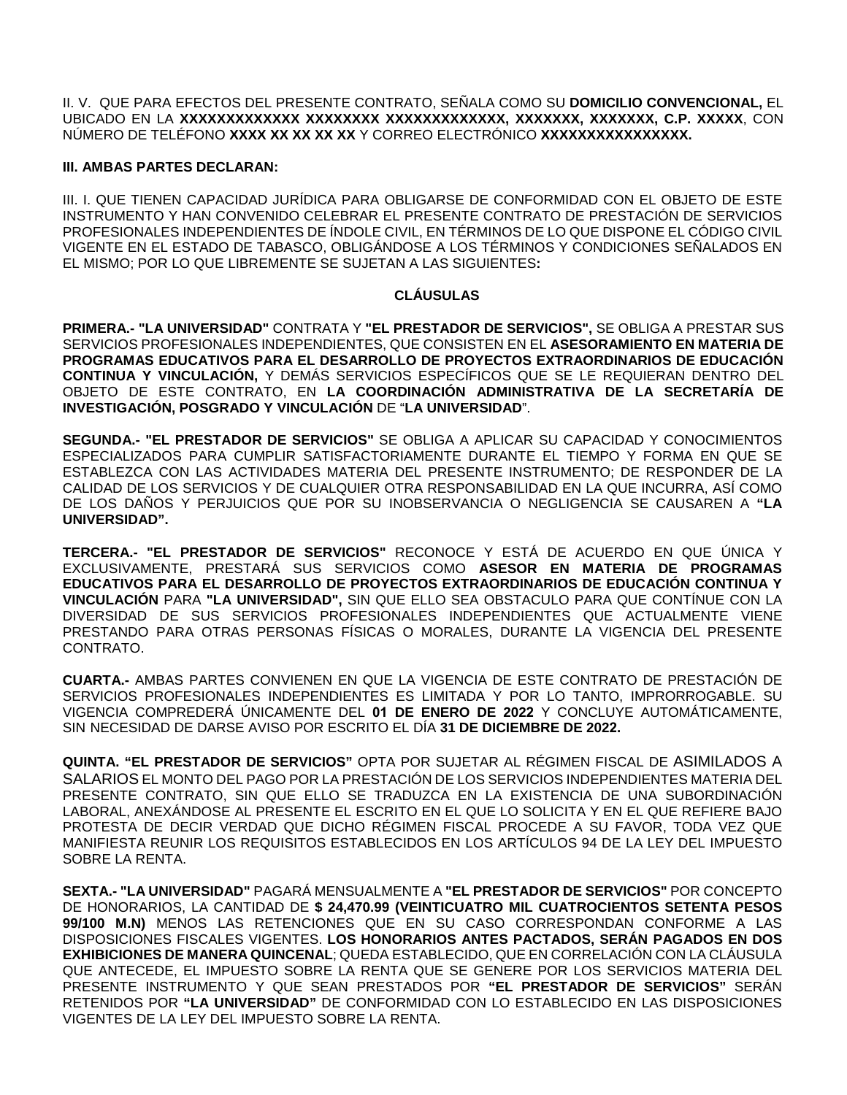II. V. QUE PARA EFECTOS DEL PRESENTE CONTRATO, SEÑALA COMO SU **DOMICILIO CONVENCIONAL,** EL UBICADO EN LA **XXXXXXXXXXXXX XXXXXXXX XXXXXXXXXXXXX, XXXXXXX, XXXXXXX, C.P. XXXXX**, CON NÚMERO DE TELÉFONO **XXXX XX XX XX XX** Y CORREO ELECTRÓNICO **XXXXXXXXXXXXXXXX.**

## **III. AMBAS PARTES DECLARAN:**

III. I. QUE TIENEN CAPACIDAD JURÍDICA PARA OBLIGARSE DE CONFORMIDAD CON EL OBJETO DE ESTE INSTRUMENTO Y HAN CONVENIDO CELEBRAR EL PRESENTE CONTRATO DE PRESTACIÓN DE SERVICIOS PROFESIONALES INDEPENDIENTES DE ÍNDOLE CIVIL, EN TÉRMINOS DE LO QUE DISPONE EL CÓDIGO CIVIL VIGENTE EN EL ESTADO DE TABASCO, OBLIGÁNDOSE A LOS TÉRMINOS Y CONDICIONES SEÑALADOS EN EL MISMO; POR LO QUE LIBREMENTE SE SUJETAN A LAS SIGUIENTES**:**

# **CLÁUSULAS**

**PRIMERA.- "LA UNIVERSIDAD"** CONTRATA Y **"EL PRESTADOR DE SERVICIOS",** SE OBLIGA A PRESTAR SUS SERVICIOS PROFESIONALES INDEPENDIENTES, QUE CONSISTEN EN EL **ASESORAMIENTO EN MATERIA DE PROGRAMAS EDUCATIVOS PARA EL DESARROLLO DE PROYECTOS EXTRAORDINARIOS DE EDUCACIÓN CONTINUA Y VINCULACIÓN,** Y DEMÁS SERVICIOS ESPECÍFICOS QUE SE LE REQUIERAN DENTRO DEL OBJETO DE ESTE CONTRATO, EN **LA COORDINACIÓN ADMINISTRATIVA DE LA SECRETARÍA DE INVESTIGACIÓN, POSGRADO Y VINCULACIÓN** DE "**LA UNIVERSIDAD**".

**SEGUNDA.- "EL PRESTADOR DE SERVICIOS"** SE OBLIGA A APLICAR SU CAPACIDAD Y CONOCIMIENTOS ESPECIALIZADOS PARA CUMPLIR SATISFACTORIAMENTE DURANTE EL TIEMPO Y FORMA EN QUE SE ESTABLEZCA CON LAS ACTIVIDADES MATERIA DEL PRESENTE INSTRUMENTO; DE RESPONDER DE LA CALIDAD DE LOS SERVICIOS Y DE CUALQUIER OTRA RESPONSABILIDAD EN LA QUE INCURRA, ASÍ COMO DE LOS DAÑOS Y PERJUICIOS QUE POR SU INOBSERVANCIA O NEGLIGENCIA SE CAUSAREN A **"LA UNIVERSIDAD".**

**TERCERA.- "EL PRESTADOR DE SERVICIOS"** RECONOCE Y ESTÁ DE ACUERDO EN QUE ÚNICA Y EXCLUSIVAMENTE, PRESTARÁ SUS SERVICIOS COMO **ASESOR EN MATERIA DE PROGRAMAS EDUCATIVOS PARA EL DESARROLLO DE PROYECTOS EXTRAORDINARIOS DE EDUCACIÓN CONTINUA Y VINCULACIÓN** PARA **"LA UNIVERSIDAD",** SIN QUE ELLO SEA OBSTACULO PARA QUE CONTÍNUE CON LA DIVERSIDAD DE SUS SERVICIOS PROFESIONALES INDEPENDIENTES QUE ACTUALMENTE VIENE PRESTANDO PARA OTRAS PERSONAS FÍSICAS O MORALES, DURANTE LA VIGENCIA DEL PRESENTE CONTRATO.

**CUARTA.-** AMBAS PARTES CONVIENEN EN QUE LA VIGENCIA DE ESTE CONTRATO DE PRESTACIÓN DE SERVICIOS PROFESIONALES INDEPENDIENTES ES LIMITADA Y POR LO TANTO, IMPRORROGABLE. SU VIGENCIA COMPREDERÁ ÚNICAMENTE DEL **01 DE ENERO DE 2022** Y CONCLUYE AUTOMÁTICAMENTE, SIN NECESIDAD DE DARSE AVISO POR ESCRITO EL DÍA **31 DE DICIEMBRE DE 2022.**

**QUINTA. "EL PRESTADOR DE SERVICIOS"** OPTA POR SUJETAR AL RÉGIMEN FISCAL DE ASIMILADOS A SALARIOS EL MONTO DEL PAGO POR LA PRESTACIÓN DE LOS SERVICIOS INDEPENDIENTES MATERIA DEL PRESENTE CONTRATO, SIN QUE ELLO SE TRADUZCA EN LA EXISTENCIA DE UNA SUBORDINACIÓN LABORAL, ANEXÁNDOSE AL PRESENTE EL ESCRITO EN EL QUE LO SOLICITA Y EN EL QUE REFIERE BAJO PROTESTA DE DECIR VERDAD QUE DICHO RÉGIMEN FISCAL PROCEDE A SU FAVOR, TODA VEZ QUE MANIFIESTA REUNIR LOS REQUISITOS ESTABLECIDOS EN LOS ARTÍCULOS 94 DE LA LEY DEL IMPUESTO SOBRE LA RENTA.

**SEXTA.- "LA UNIVERSIDAD"** PAGARÁ MENSUALMENTE A **"EL PRESTADOR DE SERVICIOS"** POR CONCEPTO DE HONORARIOS, LA CANTIDAD DE **\$ 24,470.99 (VEINTICUATRO MIL CUATROCIENTOS SETENTA PESOS 99/100 M.N)** MENOS LAS RETENCIONES QUE EN SU CASO CORRESPONDAN CONFORME A LAS DISPOSICIONES FISCALES VIGENTES. **LOS HONORARIOS ANTES PACTADOS, SERÁN PAGADOS EN DOS EXHIBICIONES DE MANERA QUINCENAL**; QUEDA ESTABLECIDO, QUE EN CORRELACIÓN CON LA CLÁUSULA QUE ANTECEDE, EL IMPUESTO SOBRE LA RENTA QUE SE GENERE POR LOS SERVICIOS MATERIA DEL PRESENTE INSTRUMENTO Y QUE SEAN PRESTADOS POR **"EL PRESTADOR DE SERVICIOS"** SERÁN RETENIDOS POR **"LA UNIVERSIDAD"** DE CONFORMIDAD CON LO ESTABLECIDO EN LAS DISPOSICIONES VIGENTES DE LA LEY DEL IMPUESTO SOBRE LA RENTA.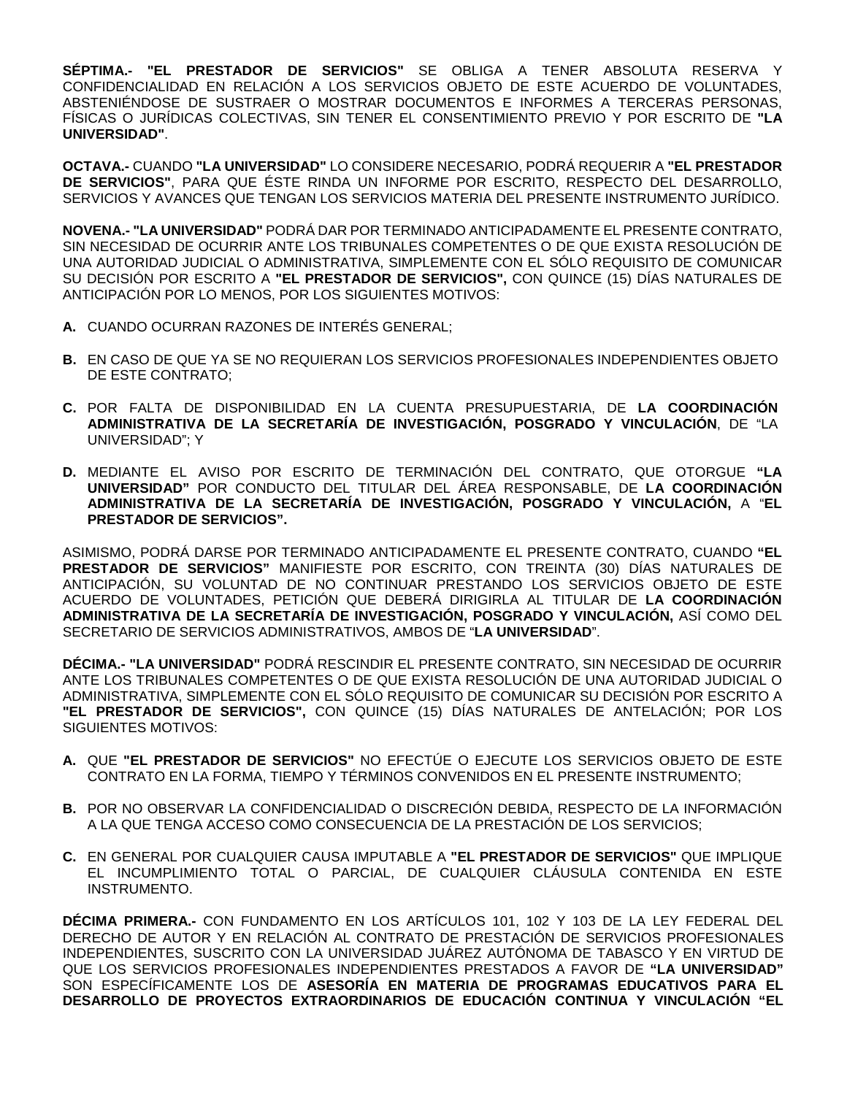**SÉPTIMA.- "EL PRESTADOR DE SERVICIOS"** SE OBLIGA A TENER ABSOLUTA RESERVA Y CONFIDENCIALIDAD EN RELACIÓN A LOS SERVICIOS OBJETO DE ESTE ACUERDO DE VOLUNTADES, ABSTENIÉNDOSE DE SUSTRAER O MOSTRAR DOCUMENTOS E INFORMES A TERCERAS PERSONAS, FÍSICAS O JURÍDICAS COLECTIVAS, SIN TENER EL CONSENTIMIENTO PREVIO Y POR ESCRITO DE **"LA UNIVERSIDAD"**.

**OCTAVA.-** CUANDO **"LA UNIVERSIDAD"** LO CONSIDERE NECESARIO, PODRÁ REQUERIR A **"EL PRESTADOR DE SERVICIOS"**, PARA QUE ÉSTE RINDA UN INFORME POR ESCRITO, RESPECTO DEL DESARROLLO, SERVICIOS Y AVANCES QUE TENGAN LOS SERVICIOS MATERIA DEL PRESENTE INSTRUMENTO JURÍDICO.

**NOVENA.- "LA UNIVERSIDAD"** PODRÁ DAR POR TERMINADO ANTICIPADAMENTE EL PRESENTE CONTRATO, SIN NECESIDAD DE OCURRIR ANTE LOS TRIBUNALES COMPETENTES O DE QUE EXISTA RESOLUCIÓN DE UNA AUTORIDAD JUDICIAL O ADMINISTRATIVA, SIMPLEMENTE CON EL SÓLO REQUISITO DE COMUNICAR SU DECISIÓN POR ESCRITO A **"EL PRESTADOR DE SERVICIOS",** CON QUINCE (15) DÍAS NATURALES DE ANTICIPACIÓN POR LO MENOS, POR LOS SIGUIENTES MOTIVOS:

- **A.** CUANDO OCURRAN RAZONES DE INTERÉS GENERAL;
- **B.** EN CASO DE QUE YA SE NO REQUIERAN LOS SERVICIOS PROFESIONALES INDEPENDIENTES OBJETO DE ESTE CONTRATO;
- **C.** POR FALTA DE DISPONIBILIDAD EN LA CUENTA PRESUPUESTARIA, DE **LA COORDINACIÓN ADMINISTRATIVA DE LA SECRETARÍA DE INVESTIGACIÓN, POSGRADO Y VINCULACIÓN**, DE "LA UNIVERSIDAD"; Y
- **D.** MEDIANTE EL AVISO POR ESCRITO DE TERMINACIÓN DEL CONTRATO, QUE OTORGUE **"LA UNIVERSIDAD"** POR CONDUCTO DEL TITULAR DEL ÁREA RESPONSABLE, DE **LA COORDINACIÓN ADMINISTRATIVA DE LA SECRETARÍA DE INVESTIGACIÓN, POSGRADO Y VINCULACIÓN,** A "**EL PRESTADOR DE SERVICIOS".**

ASIMISMO, PODRÁ DARSE POR TERMINADO ANTICIPADAMENTE EL PRESENTE CONTRATO, CUANDO **"EL PRESTADOR DE SERVICIOS"** MANIFIESTE POR ESCRITO, CON TREINTA (30) DÍAS NATURALES DE ANTICIPACIÓN, SU VOLUNTAD DE NO CONTINUAR PRESTANDO LOS SERVICIOS OBJETO DE ESTE ACUERDO DE VOLUNTADES, PETICIÓN QUE DEBERÁ DIRIGIRLA AL TITULAR DE **LA COORDINACIÓN ADMINISTRATIVA DE LA SECRETARÍA DE INVESTIGACIÓN, POSGRADO Y VINCULACIÓN,** ASÍ COMO DEL SECRETARIO DE SERVICIOS ADMINISTRATIVOS, AMBOS DE "**LA UNIVERSIDAD**".

**DÉCIMA.- "LA UNIVERSIDAD"** PODRÁ RESCINDIR EL PRESENTE CONTRATO, SIN NECESIDAD DE OCURRIR ANTE LOS TRIBUNALES COMPETENTES O DE QUE EXISTA RESOLUCIÓN DE UNA AUTORIDAD JUDICIAL O ADMINISTRATIVA, SIMPLEMENTE CON EL SÓLO REQUISITO DE COMUNICAR SU DECISIÓN POR ESCRITO A **"EL PRESTADOR DE SERVICIOS",** CON QUINCE (15) DÍAS NATURALES DE ANTELACIÓN; POR LOS SIGUIENTES MOTIVOS:

- **A.** QUE **"EL PRESTADOR DE SERVICIOS"** NO EFECTÚE O EJECUTE LOS SERVICIOS OBJETO DE ESTE CONTRATO EN LA FORMA, TIEMPO Y TÉRMINOS CONVENIDOS EN EL PRESENTE INSTRUMENTO;
- **B.** POR NO OBSERVAR LA CONFIDENCIALIDAD O DISCRECIÓN DEBIDA, RESPECTO DE LA INFORMACIÓN A LA QUE TENGA ACCESO COMO CONSECUENCIA DE LA PRESTACIÓN DE LOS SERVICIOS;
- **C.** EN GENERAL POR CUALQUIER CAUSA IMPUTABLE A **"EL PRESTADOR DE SERVICIOS"** QUE IMPLIQUE EL INCUMPLIMIENTO TOTAL O PARCIAL, DE CUALQUIER CLÁUSULA CONTENIDA EN ESTE INSTRUMENTO.

**DÉCIMA PRIMERA.-** CON FUNDAMENTO EN LOS ARTÍCULOS 101, 102 Y 103 DE LA LEY FEDERAL DEL DERECHO DE AUTOR Y EN RELACIÓN AL CONTRATO DE PRESTACIÓN DE SERVICIOS PROFESIONALES INDEPENDIENTES, SUSCRITO CON LA UNIVERSIDAD JUÁREZ AUTÓNOMA DE TABASCO Y EN VIRTUD DE QUE LOS SERVICIOS PROFESIONALES INDEPENDIENTES PRESTADOS A FAVOR DE **"LA UNIVERSIDAD"** SON ESPECÍFICAMENTE LOS DE **ASESORÍA EN MATERIA DE PROGRAMAS EDUCATIVOS PARA EL DESARROLLO DE PROYECTOS EXTRAORDINARIOS DE EDUCACIÓN CONTINUA Y VINCULACIÓN "EL**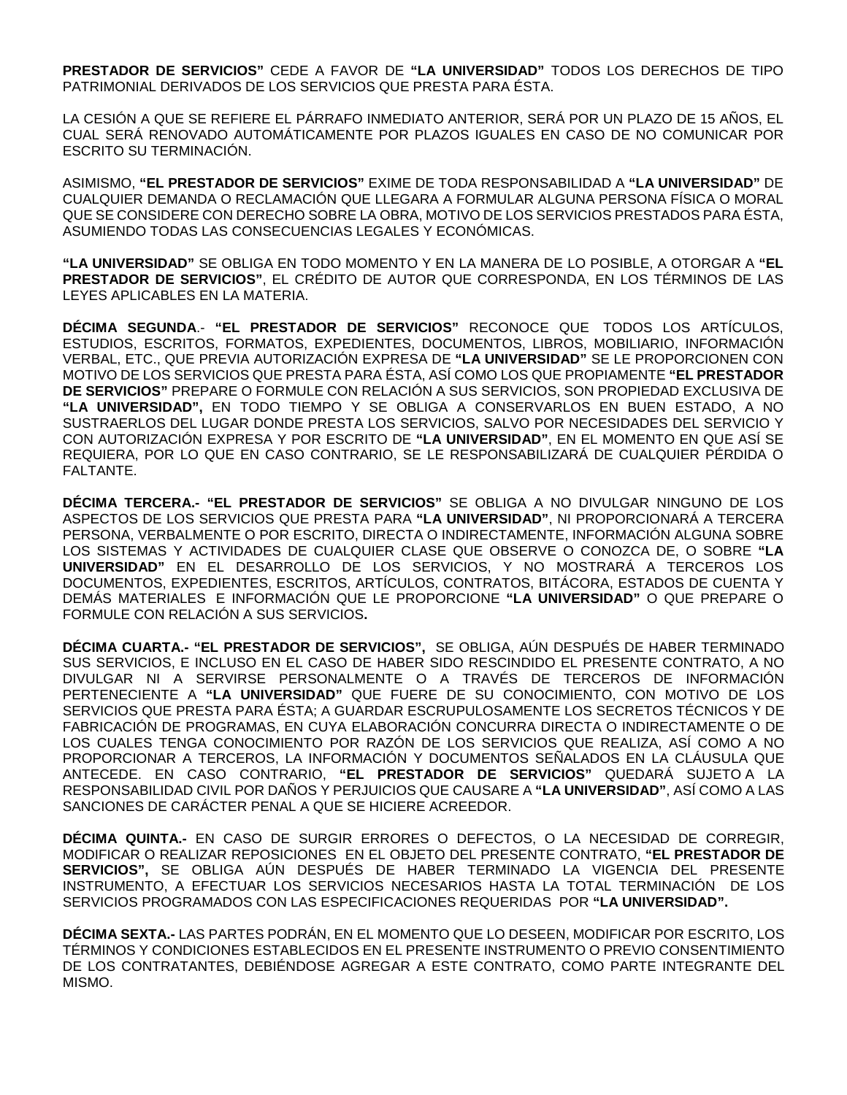**PRESTADOR DE SERVICIOS"** CEDE A FAVOR DE **"LA UNIVERSIDAD"** TODOS LOS DERECHOS DE TIPO PATRIMONIAL DERIVADOS DE LOS SERVICIOS QUE PRESTA PARA ÉSTA.

LA CESIÓN A QUE SE REFIERE EL PÁRRAFO INMEDIATO ANTERIOR, SERÁ POR UN PLAZO DE 15 AÑOS, EL CUAL SERÁ RENOVADO AUTOMÁTICAMENTE POR PLAZOS IGUALES EN CASO DE NO COMUNICAR POR ESCRITO SU TERMINACIÓN.

ASIMISMO, **"EL PRESTADOR DE SERVICIOS"** EXIME DE TODA RESPONSABILIDAD A **"LA UNIVERSIDAD"** DE CUALQUIER DEMANDA O RECLAMACIÓN QUE LLEGARA A FORMULAR ALGUNA PERSONA FÍSICA O MORAL QUE SE CONSIDERE CON DERECHO SOBRE LA OBRA, MOTIVO DE LOS SERVICIOS PRESTADOS PARA ÉSTA, ASUMIENDO TODAS LAS CONSECUENCIAS LEGALES Y ECONÓMICAS.

**"LA UNIVERSIDAD"** SE OBLIGA EN TODO MOMENTO Y EN LA MANERA DE LO POSIBLE, A OTORGAR A **"EL PRESTADOR DE SERVICIOS"**, EL CRÉDITO DE AUTOR QUE CORRESPONDA, EN LOS TÉRMINOS DE LAS LEYES APLICABLES EN LA MATERIA.

**DÉCIMA SEGUNDA**.- **"EL PRESTADOR DE SERVICIOS"** RECONOCE QUE TODOS LOS ARTÍCULOS, ESTUDIOS, ESCRITOS, FORMATOS, EXPEDIENTES, DOCUMENTOS, LIBROS, MOBILIARIO, INFORMACIÓN VERBAL, ETC., QUE PREVIA AUTORIZACIÓN EXPRESA DE **"LA UNIVERSIDAD"** SE LE PROPORCIONEN CON MOTIVO DE LOS SERVICIOS QUE PRESTA PARA ÉSTA, ASÍ COMO LOS QUE PROPIAMENTE **"EL PRESTADOR DE SERVICIOS"** PREPARE O FORMULE CON RELACIÓN A SUS SERVICIOS, SON PROPIEDAD EXCLUSIVA DE **"LA UNIVERSIDAD",** EN TODO TIEMPO Y SE OBLIGA A CONSERVARLOS EN BUEN ESTADO, A NO SUSTRAERLOS DEL LUGAR DONDE PRESTA LOS SERVICIOS, SALVO POR NECESIDADES DEL SERVICIO Y CON AUTORIZACIÓN EXPRESA Y POR ESCRITO DE **"LA UNIVERSIDAD"**, EN EL MOMENTO EN QUE ASÍ SE REQUIERA, POR LO QUE EN CASO CONTRARIO, SE LE RESPONSABILIZARÁ DE CUALQUIER PÉRDIDA O FALTANTE.

**DÉCIMA TERCERA.- "EL PRESTADOR DE SERVICIOS"** SE OBLIGA A NO DIVULGAR NINGUNO DE LOS ASPECTOS DE LOS SERVICIOS QUE PRESTA PARA **"LA UNIVERSIDAD"**, NI PROPORCIONARÁ A TERCERA PERSONA, VERBALMENTE O POR ESCRITO, DIRECTA O INDIRECTAMENTE, INFORMACIÓN ALGUNA SOBRE LOS SISTEMAS Y ACTIVIDADES DE CUALQUIER CLASE QUE OBSERVE O CONOZCA DE, O SOBRE **"LA UNIVERSIDAD"** EN EL DESARROLLO DE LOS SERVICIOS, Y NO MOSTRARÁ A TERCEROS LOS DOCUMENTOS, EXPEDIENTES, ESCRITOS, ARTÍCULOS, CONTRATOS, BITÁCORA, ESTADOS DE CUENTA Y DEMÁS MATERIALES E INFORMACIÓN QUE LE PROPORCIONE **"LA UNIVERSIDAD"** O QUE PREPARE O FORMULE CON RELACIÓN A SUS SERVICIOS**.** 

**DÉCIMA CUARTA.- "EL PRESTADOR DE SERVICIOS",** SE OBLIGA, AÚN DESPUÉS DE HABER TERMINADO SUS SERVICIOS, E INCLUSO EN EL CASO DE HABER SIDO RESCINDIDO EL PRESENTE CONTRATO, A NO DIVULGAR NI A SERVIRSE PERSONALMENTE O A TRAVÉS DE TERCEROS DE INFORMACIÓN PERTENECIENTE A **"LA UNIVERSIDAD"** QUE FUERE DE SU CONOCIMIENTO, CON MOTIVO DE LOS SERVICIOS QUE PRESTA PARA ÉSTA; A GUARDAR ESCRUPULOSAMENTE LOS SECRETOS TÉCNICOS Y DE FABRICACIÓN DE PROGRAMAS, EN CUYA ELABORACIÓN CONCURRA DIRECTA O INDIRECTAMENTE O DE LOS CUALES TENGA CONOCIMIENTO POR RAZÓN DE LOS SERVICIOS QUE REALIZA, ASÍ COMO A NO PROPORCIONAR A TERCEROS, LA INFORMACIÓN Y DOCUMENTOS SEÑALADOS EN LA CLÁUSULA QUE ANTECEDE. EN CASO CONTRARIO, **"EL PRESTADOR DE SERVICIOS"** QUEDARÁ SUJETO A LA RESPONSABILIDAD CIVIL POR DAÑOS Y PERJUICIOS QUE CAUSARE A **"LA UNIVERSIDAD"**, ASÍ COMO A LAS SANCIONES DE CARÁCTER PENAL A QUE SE HICIERE ACREEDOR.

**DÉCIMA QUINTA.-** EN CASO DE SURGIR ERRORES O DEFECTOS, O LA NECESIDAD DE CORREGIR, MODIFICAR O REALIZAR REPOSICIONES EN EL OBJETO DEL PRESENTE CONTRATO, **"EL PRESTADOR DE SERVICIOS",** SE OBLIGA AÚN DESPUÉS DE HABER TERMINADO LA VIGENCIA DEL PRESENTE INSTRUMENTO, A EFECTUAR LOS SERVICIOS NECESARIOS HASTA LA TOTAL TERMINACIÓN DE LOS SERVICIOS PROGRAMADOS CON LAS ESPECIFICACIONES REQUERIDAS POR **"LA UNIVERSIDAD".**

**DÉCIMA SEXTA.-** LAS PARTES PODRÁN, EN EL MOMENTO QUE LO DESEEN, MODIFICAR POR ESCRITO, LOS TÉRMINOS Y CONDICIONES ESTABLECIDOS EN EL PRESENTE INSTRUMENTO O PREVIO CONSENTIMIENTO DE LOS CONTRATANTES, DEBIÉNDOSE AGREGAR A ESTE CONTRATO, COMO PARTE INTEGRANTE DEL MISMO.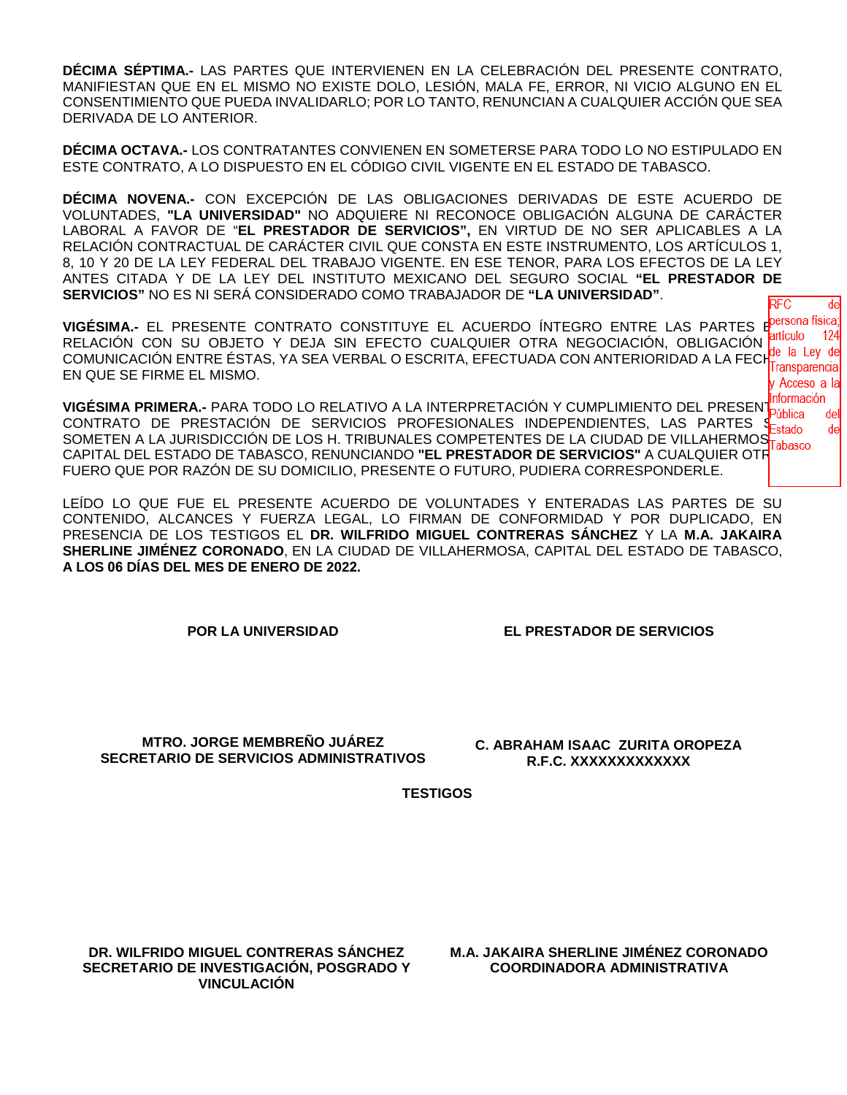**DÉCIMA SÉPTIMA.-** LAS PARTES QUE INTERVIENEN EN LA CELEBRACIÓN DEL PRESENTE CONTRATO, MANIFIESTAN QUE EN EL MISMO NO EXISTE DOLO, LESIÓN, MALA FE, ERROR, NI VICIO ALGUNO EN EL CONSENTIMIENTO QUE PUEDA INVALIDARLO; POR LO TANTO, RENUNCIAN A CUALQUIER ACCIÓN QUE SEA DERIVADA DE LO ANTERIOR.

**DÉCIMA OCTAVA.-** LOS CONTRATANTES CONVIENEN EN SOMETERSE PARA TODO LO NO ESTIPULADO EN ESTE CONTRATO, A LO DISPUESTO EN EL CÓDIGO CIVIL VIGENTE EN EL ESTADO DE TABASCO.

**DÉCIMA NOVENA.-** CON EXCEPCIÓN DE LAS OBLIGACIONES DERIVADAS DE ESTE ACUERDO DE VOLUNTADES, **"LA UNIVERSIDAD"** NO ADQUIERE NI RECONOCE OBLIGACIÓN ALGUNA DE CARÁCTER LABORAL A FAVOR DE "**EL PRESTADOR DE SERVICIOS",** EN VIRTUD DE NO SER APLICABLES A LA RELACIÓN CONTRACTUAL DE CARÁCTER CIVIL QUE CONSTA EN ESTE INSTRUMENTO, LOS ARTÍCULOS 1, 8, 10 Y 20 DE LA LEY FEDERAL DEL TRABAJO VIGENTE. EN ESE TENOR, PARA LOS EFECTOS DE LA LEY ANTES CITADA Y DE LA LEY DEL INSTITUTO MEXICANO DEL SEGURO SOCIAL **"EL PRESTADOR DE SERVICIOS"** NO ES NI SERÁ CONSIDERADO COMO TRABAJADOR DE **"LA UNIVERSIDAD"**.  $\overline{RFC}$ 

**VIGÉSIMA.-** EL PRESENTE CONTRATO CONSTITUYE EL ACUERDO ÍNTEGRO ENTRE LAS PARTES E<sup>persona física</sub></sup> RELACIÓN CON SU OBJETO Y DEJA SIN EFECTO CUALQUIER OTRA NEGOCIACIÓN, OBLIGACIÓN **anturo 124**<br>CON ILILO CIÓN ENTRE ÉCTAS VA SEA VERRAL O ESCRITA EFECTIVADA CON ANTERIORIDAD A LA EFOL<mark>de la Ley de</mark> COMUNICACIÓN ENTRE ÉSTAS, YA SEA VERBAL O ESCRITA, EFECTUADA CON ANTERIORIDAD A LA FECHITransparencia EN QUE SE FIRME EL MISMO. <sup>,</sup> Acceso a la

**VIGÉSIMA PRIMERA.-** PARA TODO LO RELATIVO A LA INTERPRETACIÓN Y CUMPLIMIENTO DEL PRESEN **Información** CONTRATO DE PRESTACIÓN DE SERVICIOS PROFESIONALES INDEPENDIENTES, LAS PARTES SEstado SOMETEN A LA JURISDICCIÓN DE LOS H. TRIBUNALES COMPETENTES DE LA CIUDAD DE VILLAHERMOSTRA CAPITAL DEL ESTADO DE TABASCO, RENUNCIANDO **"EL PRESTADOR DE SERVICIOS"** A CUALQUIER OTRO FUERO QUE POR RAZÓN DE SU DOMICILIO, PRESENTE O FUTURO, PUDIERA CORRESPONDERLE.

LEÍDO LO QUE FUE EL PRESENTE ACUERDO DE VOLUNTADES Y ENTERADAS LAS PARTES DE SU CONTENIDO, ALCANCES Y FUERZA LEGAL, LO FIRMAN DE CONFORMIDAD Y POR DUPLICADO, EN PRESENCIA DE LOS TESTIGOS EL **DR. WILFRIDO MIGUEL CONTRERAS SÁNCHEZ** Y LA **M.A. JAKAIRA SHERLINE JIMÉNEZ CORONADO**, EN LA CIUDAD DE VILLAHERMOSA, CAPITAL DEL ESTADO DE TABASCO, **A LOS 06 DÍAS DEL MES DE ENERO DE 2022.**

**POR LA UNIVERSIDAD EL PRESTADOR DE SERVICIOS**

de

124

de de

**MTRO. JORGE MEMBREÑO JUÁREZ SECRETARIO DE SERVICIOS ADMINISTRATIVOS**

**C. ABRAHAM ISAAC ZURITA OROPEZA R.F.C. XXXXXXXXXXXXX**

**TESTIGOS**

**DR. WILFRIDO MIGUEL CONTRERAS SÁNCHEZ SECRETARIO DE INVESTIGACIÓN, POSGRADO Y VINCULACIÓN**

**M.A. JAKAIRA SHERLINE JIMÉNEZ CORONADO COORDINADORA ADMINISTRATIVA**